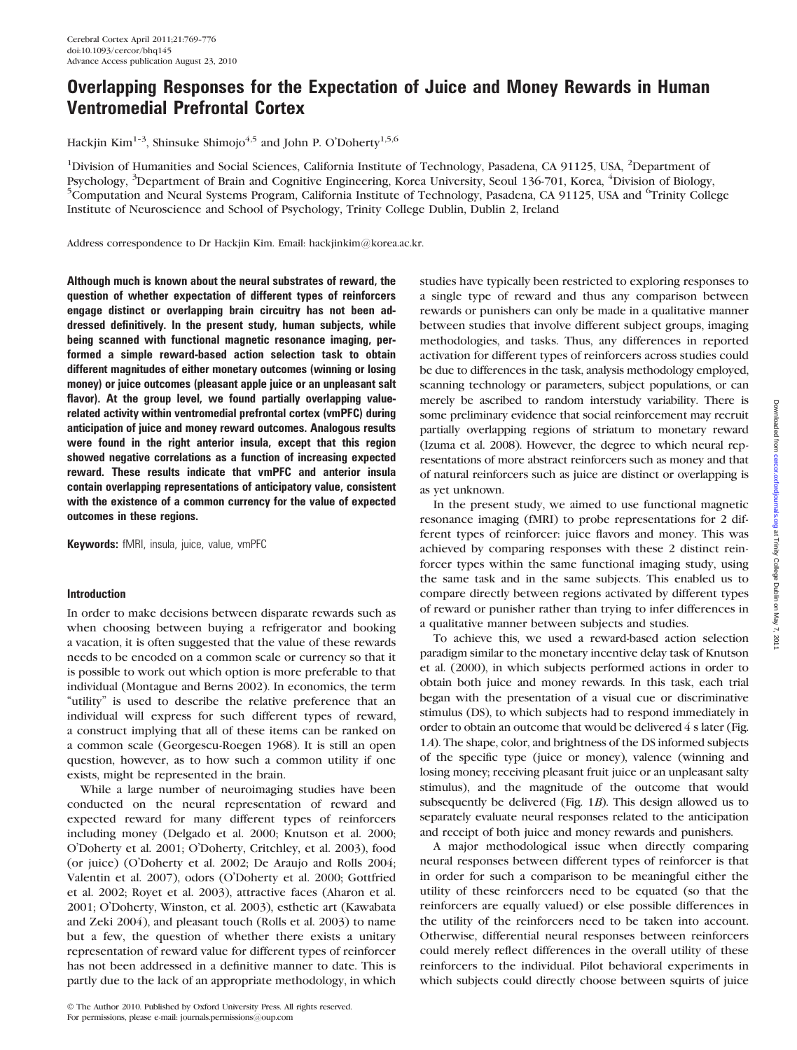# Overlapping Responses for the Expectation of Juice and Money Rewards in Human Ventromedial Prefrontal Cortex

Hackjin Kim<sup>1-3</sup>, Shinsuke Shimojo<sup>4,5</sup> and John P. O'Doherty<sup>1,5,6</sup>

<sup>1</sup>Division of Humanities and Social Sciences, California Institute of Technology, Pasadena, CA 91125, USA, <sup>2</sup>Department of Psychology, <sup>3</sup>Department of Brain and Cognitive Engineering, Korea University, Seoul 136-701, Korea, <sup>4</sup>Division of Biology, <sup>5</sup>Computation and Neural Systems Program, California Institute of Technology, Pasadena, CA 9112 Computation and Neural Systems Program, California Institute of Technology, Pasadena, CA 91125, USA and <sup>6</sup>Trinity College Institute of Neuroscience and School of Psychology, Trinity College Dublin, Dublin 2, Ireland

Address correspondence to Dr Hackjin Kim. Email: hackjinkim@korea.ac.kr.

Although much is known about the neural substrates of reward, the question of whether expectation of different types of reinforcers engage distinct or overlapping brain circuitry has not been addressed definitively. In the present study, human subjects, while being scanned with functional magnetic resonance imaging, performed a simple reward-based action selection task to obtain different magnitudes of either monetary outcomes (winning or losing money) or juice outcomes (pleasant apple juice or an unpleasant salt flavor). At the group level, we found partially overlapping valuerelated activity within ventromedial prefrontal cortex (vmPFC) during anticipation of juice and money reward outcomes. Analogous results were found in the right anterior insula, except that this region showed negative correlations as a function of increasing expected reward. These results indicate that vmPFC and anterior insula contain overlapping representations of anticipatory value, consistent with the existence of a common currency for the value of expected outcomes in these regions.

Keywords: fMRI, insula, juice, value, vmPFC

## Introduction

In order to make decisions between disparate rewards such as when choosing between buying a refrigerator and booking a vacation, it is often suggested that the value of these rewards needs to be encoded on a common scale or currency so that it is possible to work out which option is more preferable to that individual (Montague and Berns 2002). In economics, the term "utility" is used to describe the relative preference that an individual will express for such different types of reward, a construct implying that all of these items can be ranked on a common scale (Georgescu-Roegen 1968). It is still an open question, however, as to how such a common utility if one exists, might be represented in the brain.

While a large number of neuroimaging studies have been conducted on the neural representation of reward and expected reward for many different types of reinforcers including money (Delgado et al. 2000; Knutson et al. 2000; O'Doherty et al. 2001; O'Doherty, Critchley, et al. 2003), food (or juice) (O'Doherty et al. 2002; De Araujo and Rolls 2004; Valentin et al. 2007), odors (O'Doherty et al. 2000; Gottfried et al. 2002; Royet et al. 2003), attractive faces (Aharon et al. 2001; O'Doherty, Winston, et al. 2003), esthetic art (Kawabata and Zeki 2004), and pleasant touch (Rolls et al. 2003) to name but a few, the question of whether there exists a unitary representation of reward value for different types of reinforcer has not been addressed in a definitive manner to date. This is partly due to the lack of an appropriate methodology, in which

 $©$  The Author 2010. Published by Oxford University Press. All rights reserved. For permissions, please e-mail: journals.permissions@oup.com

studies have typically been restricted to exploring responses to a single type of reward and thus any comparison between rewards or punishers can only be made in a qualitative manner between studies that involve different subject groups, imaging methodologies, and tasks. Thus, any differences in reported activation for different types of reinforcers across studies could be due to differences in the task, analysis methodology employed, scanning technology or parameters, subject populations, or can merely be ascribed to random interstudy variability. There is some preliminary evidence that social reinforcement may recruit partially overlapping regions of striatum to monetary reward (Izuma et al. 2008). However, the degree to which neural representations of more abstract reinforcers such as money and that of natural reinforcers such as juice are distinct or overlapping is as yet unknown.

In the present study, we aimed to use functional magnetic resonance imaging (fMRI) to probe representations for 2 different types of reinforcer: juice flavors and money. This was achieved by comparing responses with these 2 distinct reinforcer types within the same functional imaging study, using the same task and in the same subjects. This enabled us to compare directly between regions activated by different types of reward or punisher rather than trying to infer differences in a qualitative manner between subjects and studies.

To achieve this, we used a reward-based action selection paradigm similar to the monetary incentive delay task of Knutson et al. (2000), in which subjects performed actions in order to obtain both juice and money rewards. In this task, each trial began with the presentation of a visual cue or discriminative stimulus (DS), to which subjects had to respond immediately in order to obtain an outcome that would be delivered 4 s later (Fig. 1A). The shape, color, and brightness of the DS informed subjects of the specific type (juice or money), valence (winning and losing money; receiving pleasant fruit juice or an unpleasant salty stimulus), and the magnitude of the outcome that would subsequently be delivered (Fig. 1B). This design allowed us to separately evaluate neural responses related to the anticipation and receipt of both juice and money rewards and punishers.

A major methodological issue when directly comparing neural responses between different types of reinforcer is that in order for such a comparison to be meaningful either the utility of these reinforcers need to be equated (so that the reinforcers are equally valued) or else possible differences in the utility of the reinforcers need to be taken into account. Otherwise, differential neural responses between reinforcers could merely reflect differences in the overall utility of these reinforcers to the individual. Pilot behavioral experiments in which subjects could directly choose between squirts of juice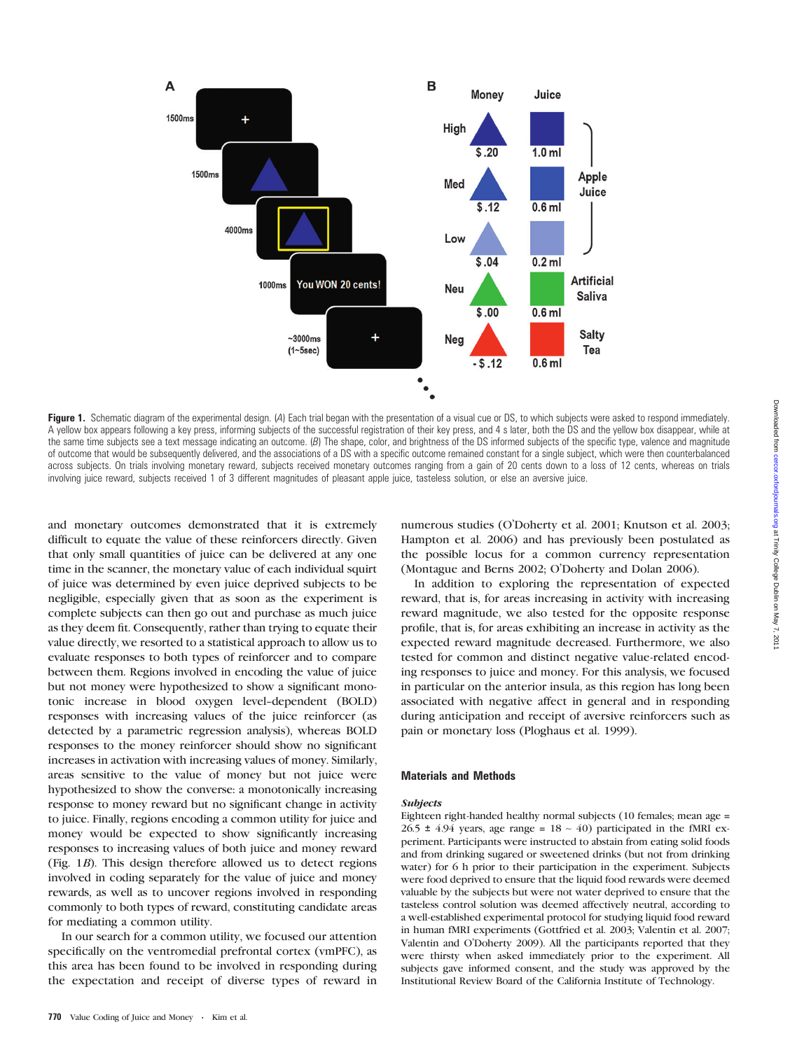

Figure 1. Schematic diagram of the experimental design. (A) Each trial began with the presentation of a visual cue or DS, to which subjects were asked to respond immediately. A yellow box appears following a key press, informing subjects of the successful registration of their key press, and 4 s later, both the DS and the yellow box disappear, while at the same time subjects see a text message indicating an outcome. (B) The shape, color, and brightness of the DS informed subjects of the specific type, valence and magnitude of outcome that would be subsequently delivered, and the associations of a DS with a specific outcome remained constant for a single subject, which were then counterbalanced across subjects. On trials involving monetary reward, subjects received monetary outcomes ranging from a gain of 20 cents down to a loss of 12 cents, whereas on trials involving juice reward, subjects received 1 of 3 different magnitudes of pleasant apple juice, tasteless solution, or else an aversive juice.

and monetary outcomes demonstrated that it is extremely difficult to equate the value of these reinforcers directly. Given that only small quantities of juice can be delivered at any one time in the scanner, the monetary value of each individual squirt of juice was determined by even juice deprived subjects to be negligible, especially given that as soon as the experiment is complete subjects can then go out and purchase as much juice as they deem fit. Consequently, rather than trying to equate their value directly, we resorted to a statistical approach to allow us to evaluate responses to both types of reinforcer and to compare between them. Regions involved in encoding the value of juice but not money were hypothesized to show a significant monotonic increase in blood oxygen level-dependent (BOLD) responses with increasing values of the juice reinforcer (as detected by a parametric regression analysis), whereas BOLD responses to the money reinforcer should show no significant increases in activation with increasing values of money. Similarly, areas sensitive to the value of money but not juice were hypothesized to show the converse: a monotonically increasing response to money reward but no significant change in activity to juice. Finally, regions encoding a common utility for juice and money would be expected to show significantly increasing responses to increasing values of both juice and money reward (Fig. 1B). This design therefore allowed us to detect regions involved in coding separately for the value of juice and money rewards, as well as to uncover regions involved in responding commonly to both types of reward, constituting candidate areas for mediating a common utility.

In our search for a common utility, we focused our attention specifically on the ventromedial prefrontal cortex (vmPFC), as this area has been found to be involved in responding during the expectation and receipt of diverse types of reward in

numerous studies (O'Doherty et al. 2001; Knutson et al. 2003; Hampton et al. 2006) and has previously been postulated as the possible locus for a common currency representation (Montague and Berns 2002; O'Doherty and Dolan 2006).

In addition to exploring the representation of expected reward, that is, for areas increasing in activity with increasing reward magnitude, we also tested for the opposite response profile, that is, for areas exhibiting an increase in activity as the expected reward magnitude decreased. Furthermore, we also tested for common and distinct negative value-related encoding responses to juice and money. For this analysis, we focused in particular on the anterior insula, as this region has long been associated with negative affect in general and in responding during anticipation and receipt of aversive reinforcers such as pain or monetary loss (Ploghaus et al. 1999).

#### Materials and Methods

#### Subjects

Eighteen right-handed healthy normal subjects (10 females; mean age = 26.5  $\pm$  4.94 years, age range = 18 ~ 40) participated in the fMRI experiment. Participants were instructed to abstain from eating solid foods and from drinking sugared or sweetened drinks (but not from drinking water) for 6 h prior to their participation in the experiment. Subjects were food deprived to ensure that the liquid food rewards were deemed valuable by the subjects but were not water deprived to ensure that the tasteless control solution was deemed affectively neutral, according to a well-established experimental protocol for studying liquid food reward in human fMRI experiments (Gottfried et al. 2003; Valentin et al. 2007; Valentin and O'Doherty 2009). All the participants reported that they were thirsty when asked immediately prior to the experiment. All subjects gave informed consent, and the study was approved by the Institutional Review Board of the California Institute of Technology.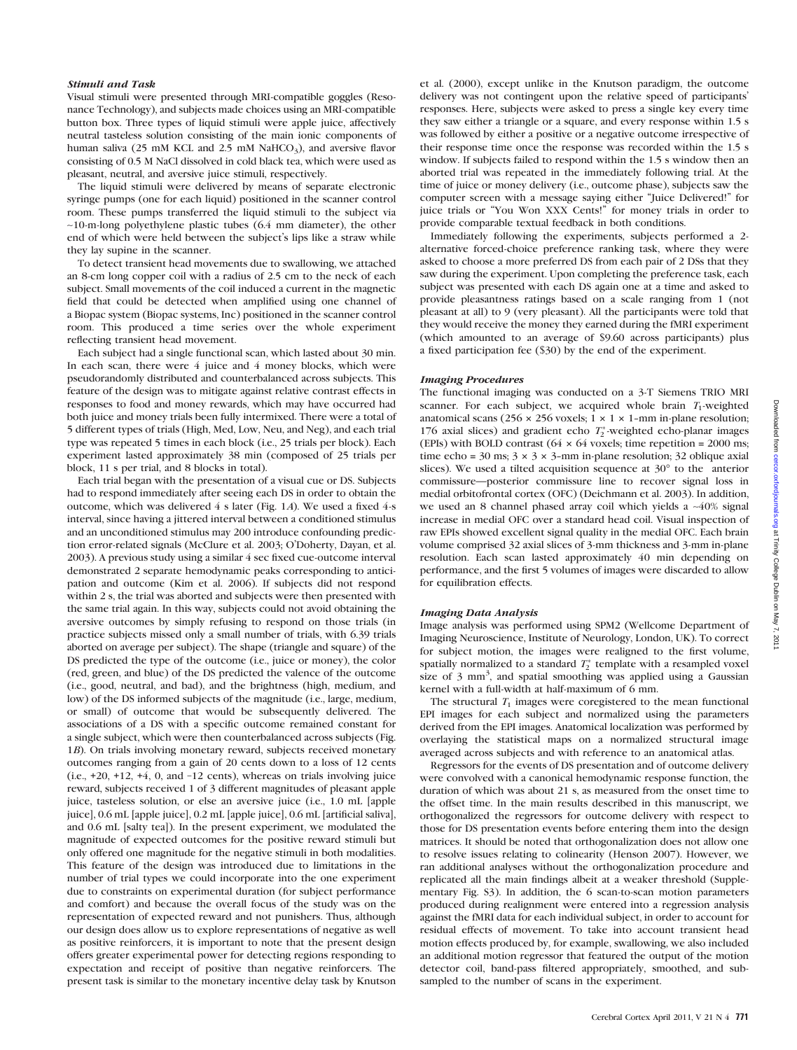#### Stimuli and Task

Visual stimuli were presented through MRI-compatible goggles (Resonance Technology), and subjects made choices using an MRI-compatible button box. Three types of liquid stimuli were apple juice, affectively neutral tasteless solution consisting of the main ionic components of human saliva (25 mM KCL and 2.5 mM NaHCO<sub>3</sub>), and aversive flavor consisting of 0.5 M NaCl dissolved in cold black tea, which were used as pleasant, neutral, and aversive juice stimuli, respectively.

The liquid stimuli were delivered by means of separate electronic syringe pumps (one for each liquid) positioned in the scanner control room. These pumps transferred the liquid stimuli to the subject via  $~10$ -m-long polyethylene plastic tubes (6.4 mm diameter), the other end of which were held between the subject's lips like a straw while they lay supine in the scanner.

To detect transient head movements due to swallowing, we attached an 8-cm long copper coil with a radius of 2.5 cm to the neck of each subject. Small movements of the coil induced a current in the magnetic field that could be detected when amplified using one channel of a Biopac system (Biopac systems, Inc) positioned in the scanner control room. This produced a time series over the whole experiment reflecting transient head movement.

Each subject had a single functional scan, which lasted about 30 min. In each scan, there were 4 juice and 4 money blocks, which were pseudorandomly distributed and counterbalanced across subjects. This feature of the design was to mitigate against relative contrast effects in responses to food and money rewards, which may have occurred had both juice and money trials been fully intermixed. There were a total of 5 different types of trials (High, Med, Low, Neu, and Neg), and each trial type was repeated 5 times in each block (i.e., 25 trials per block). Each experiment lasted approximately 38 min (composed of 25 trials per block, 11 s per trial, and 8 blocks in total).

Each trial began with the presentation of a visual cue or DS. Subjects had to respond immediately after seeing each DS in order to obtain the outcome, which was delivered 4 s later (Fig. 1A). We used a fixed 4-s interval, since having a jittered interval between a conditioned stimulus and an unconditioned stimulus may 200 introduce confounding prediction error-related signals (McClure et al. 2003; O'Doherty, Dayan, et al. 2003). A previous study using a similar 4 sec fixed cue-outcome interval demonstrated 2 separate hemodynamic peaks corresponding to anticipation and outcome (Kim et al. 2006). If subjects did not respond within 2 s, the trial was aborted and subjects were then presented with the same trial again. In this way, subjects could not avoid obtaining the aversive outcomes by simply refusing to respond on those trials (in practice subjects missed only a small number of trials, with 6.39 trials aborted on average per subject). The shape (triangle and square) of the DS predicted the type of the outcome (i.e., juice or money), the color (red, green, and blue) of the DS predicted the valence of the outcome (i.e., good, neutral, and bad), and the brightness (high, medium, and low) of the DS informed subjects of the magnitude (i.e., large, medium, or small) of outcome that would be subsequently delivered. The associations of a DS with a specific outcome remained constant for a single subject, which were then counterbalanced across subjects (Fig. 1B). On trials involving monetary reward, subjects received monetary outcomes ranging from a gain of 20 cents down to a loss of 12 cents  $(i.e., +20, +12, +4, 0, and -12 cents)$ , whereas on trials involving juice reward, subjects received 1 of 3 different magnitudes of pleasant apple juice, tasteless solution, or else an aversive juice (i.e., 1.0 mL [apple juice], 0.6 mL [apple juice], 0.2 mL [apple juice], 0.6 mL [artificial saliva], and 0.6 mL [salty tea]). In the present experiment, we modulated the magnitude of expected outcomes for the positive reward stimuli but only offered one magnitude for the negative stimuli in both modalities. This feature of the design was introduced due to limitations in the number of trial types we could incorporate into the one experiment due to constraints on experimental duration (for subject performance and comfort) and because the overall focus of the study was on the representation of expected reward and not punishers. Thus, although our design does allow us to explore representations of negative as well as positive reinforcers, it is important to note that the present design offers greater experimental power for detecting regions responding to expectation and receipt of positive than negative reinforcers. The present task is similar to the monetary incentive delay task by Knutson

et al. (2000), except unlike in the Knutson paradigm, the outcome delivery was not contingent upon the relative speed of participants' responses. Here, subjects were asked to press a single key every time they saw either a triangle or a square, and every response within 1.5 s was followed by either a positive or a negative outcome irrespective of their response time once the response was recorded within the 1.5 s window. If subjects failed to respond within the 1.5 s window then an aborted trial was repeated in the immediately following trial. At the time of juice or money delivery (i.e., outcome phase), subjects saw the computer screen with a message saying either ''Juice Delivered!'' for juice trials or ''You Won XXX Cents!'' for money trials in order to provide comparable textual feedback in both conditions.

Immediately following the experiments, subjects performed a 2 alternative forced-choice preference ranking task, where they were asked to choose a more preferred DS from each pair of 2 DSs that they saw during the experiment. Upon completing the preference task, each subject was presented with each DS again one at a time and asked to provide pleasantness ratings based on a scale ranging from 1 (not pleasant at all) to 9 (very pleasant). All the participants were told that they would receive the money they earned during the fMRI experiment (which amounted to an average of \$9.60 across participants) plus a fixed participation fee (\$30) by the end of the experiment.

#### Imaging Procedures

The functional imaging was conducted on a 3-T Siemens TRIO MRI scanner. For each subject, we acquired whole brain  $T_1$ -weighted anatomical scans (256  $\times$  256 voxels; 1  $\times$  1  $\times$  1-mm in-plane resolution; 176 axial slices) and gradient echo  $T_2^*$ -weighted echo-planar images (EPIs) with BOLD contrast (64  $\times$  64 voxels; time repetition = 2000 ms; time echo =  $30 \text{ ms}$ ;  $3 \times 3 \times 3$ -mm in-plane resolution;  $32$  oblique axial slices). We used a tilted acquisition sequence at  $30^{\circ}$  to the anterior commissure—posterior commissure line to recover signal loss in medial orbitofrontal cortex (OFC) (Deichmann et al. 2003). In addition, we used an 8 channel phased array coil which yields a ~40% signal increase in medial OFC over a standard head coil. Visual inspection of raw EPIs showed excellent signal quality in the medial OFC. Each brain volume comprised 32 axial slices of 3-mm thickness and 3-mm in-plane resolution. Each scan lasted approximately 40 min depending on performance, and the first 5 volumes of images were discarded to allow for equilibration effects.

#### Imaging Data Analysis

Image analysis was performed using SPM2 (Wellcome Department of Imaging Neuroscience, Institute of Neurology, London, UK). To correct for subject motion, the images were realigned to the first volume, spatially normalized to a standard  $T_2^*$  template with a resampled voxel size of 3 mm<sup>3</sup>, and spatial smoothing was applied using a Gaussian kernel with a full-width at half-maximum of 6 mm.

The structural  $T_1$  images were coregistered to the mean functional EPI images for each subject and normalized using the parameters derived from the EPI images. Anatomical localization was performed by overlaying the statistical maps on a normalized structural image averaged across subjects and with reference to an anatomical atlas.

Regressors for the events of DS presentation and of outcome delivery were convolved with a canonical hemodynamic response function, the duration of which was about 21 s, as measured from the onset time to the offset time. In the main results described in this manuscript, we orthogonalized the regressors for outcome delivery with respect to those for DS presentation events before entering them into the design matrices. It should be noted that orthogonalization does not allow one to resolve issues relating to colinearity (Henson 2007). However, we ran additional analyses without the orthogonalization procedure and replicated all the main findings albeit at a weaker threshold ([Supple](Supplementary )[mentary Fig. S3\)](Supplementary ). In addition, the 6 scan-to-scan motion parameters produced during realignment were entered into a regression analysis against the fMRI data for each individual subject, in order to account for residual effects of movement. To take into account transient head motion effects produced by, for example, swallowing, we also included an additional motion regressor that featured the output of the motion detector coil, band-pass filtered appropriately, smoothed, and subsampled to the number of scans in the experiment.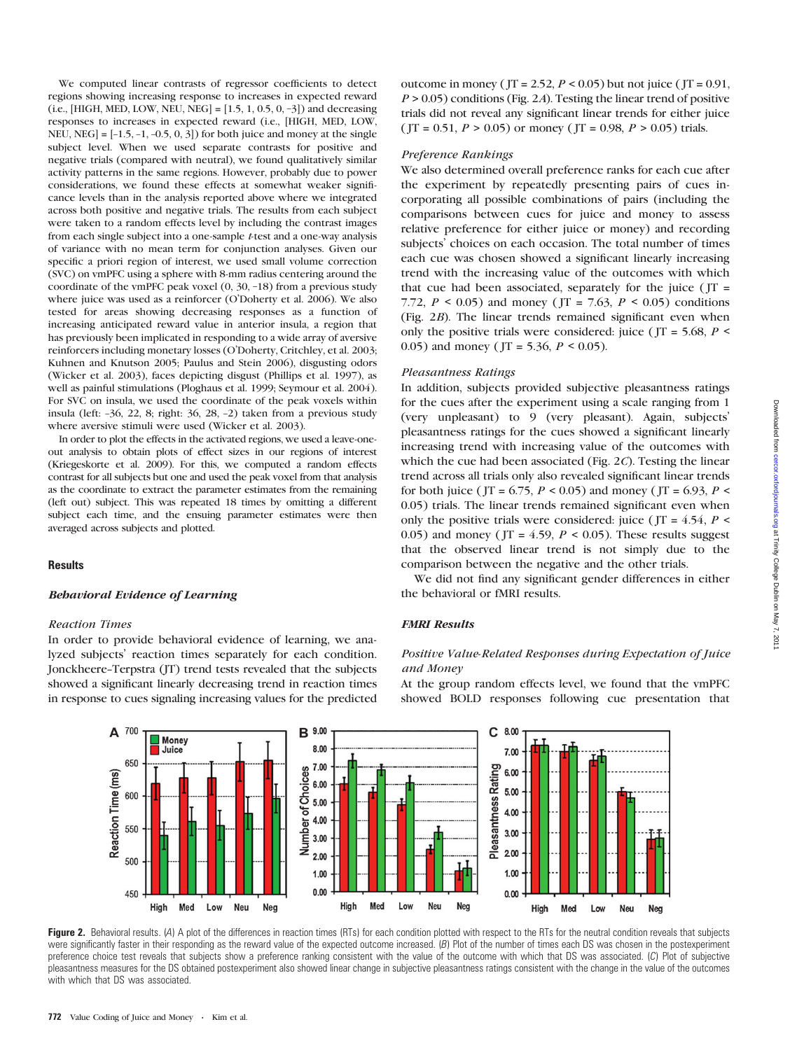We computed linear contrasts of regressor coefficients to detect regions showing increasing response to increases in expected reward  $(i.e., [HIGH, MED, LOW, NEU, NEG] = [1.5, 1, 0.5, 0, -3])$  and decreasing responses to increases in expected reward (i.e., [HIGH, MED, LOW, NEU, NEG] =  $[-1.5, -1, -0.5, 0, 3]$  for both juice and money at the single subject level. When we used separate contrasts for positive and negative trials (compared with neutral), we found qualitatively similar activity patterns in the same regions. However, probably due to power considerations, we found these effects at somewhat weaker significance levels than in the analysis reported above where we integrated across both positive and negative trials. The results from each subject were taken to a random effects level by including the contrast images from each single subject into a one-sample t-test and a one-way analysis of variance with no mean term for conjunction analyses. Given our specific a priori region of interest, we used small volume correction (SVC) on vmPFC using a sphere with 8-mm radius centering around the coordinate of the vmPFC peak voxel (0, 30, –18) from a previous study where juice was used as a reinforcer (O'Doherty et al. 2006). We also tested for areas showing decreasing responses as a function of increasing anticipated reward value in anterior insula, a region that has previously been implicated in responding to a wide array of aversive reinforcers including monetary losses (O'Doherty, Critchley, et al. 2003; Kuhnen and Knutson 2005; Paulus and Stein 2006), disgusting odors (Wicker et al. 2003), faces depicting disgust (Phillips et al. 1997), as well as painful stimulations (Ploghaus et al. 1999; Seymour et al. 2004). For SVC on insula, we used the coordinate of the peak voxels within insula (left: –36, 22, 8; right: 36, 28, –2) taken from a previous study where aversive stimuli were used (Wicker et al. 2003).

In order to plot the effects in the activated regions, we used a leave-oneout analysis to obtain plots of effect sizes in our regions of interest (Kriegeskorte et al. 2009). For this, we computed a random effects contrast for all subjects but one and used the peak voxel from that analysis as the coordinate to extract the parameter estimates from the remaining (left out) subject. This was repeated 18 times by omitting a different subject each time, and the ensuing parameter estimates were then averaged across subjects and plotted.

## **Results**

#### Behavioral Evidence of Learning

#### Reaction Times

In order to provide behavioral evidence of learning, we analyzed subjects' reaction times separately for each condition. Jonckheere--Terpstra (JT) trend tests revealed that the subjects showed a significant linearly decreasing trend in reaction times in response to cues signaling increasing values for the predicted

outcome in money ( $JT = 2.52$ ,  $P < 0.05$ ) but not juice ( $JT = 0.91$ ,  $P > 0.05$ ) conditions (Fig. 2A). Testing the linear trend of positive trials did not reveal any significant linear trends for either juice ( JT = 0.51,  $P > 0.05$ ) or money ( JT = 0.98,  $P > 0.05$ ) trials.

#### Preference Rankings

We also determined overall preference ranks for each cue after the experiment by repeatedly presenting pairs of cues incorporating all possible combinations of pairs (including the comparisons between cues for juice and money to assess relative preference for either juice or money) and recording subjects' choices on each occasion. The total number of times each cue was chosen showed a significant linearly increasing trend with the increasing value of the outcomes with which that cue had been associated, separately for the juice ( $JT =$ 7.72,  $P < 0.05$ ) and money (JT = 7.63,  $P < 0.05$ ) conditions (Fig. 2B). The linear trends remained significant even when only the positive trials were considered: juice ( $JT = 5.68$ ,  $P \le$ 0.05) and money ( $JT = 5.36, P < 0.05$ ).

#### Pleasantness Ratings

In addition, subjects provided subjective pleasantness ratings for the cues after the experiment using a scale ranging from 1 (very unpleasant) to 9 (very pleasant). Again, subjects' pleasantness ratings for the cues showed a significant linearly increasing trend with increasing value of the outcomes with which the cue had been associated (Fig. 2C). Testing the linear trend across all trials only also revealed significant linear trends for both juice ( JT = 6.75,  $P < 0.05$ ) and money ( JT = 6.93,  $P <$ 0.05) trials. The linear trends remained significant even when only the positive trials were considered: juice ( $JT = 4.54$ ,  $P \leq$ 0.05) and money (  $JT = 4.59$ ,  $P \le 0.05$ ). These results suggest that the observed linear trend is not simply due to the comparison between the negative and the other trials.

We did not find any significant gender differences in either the behavioral or fMRI results.

#### FMRI Results

## Positive Value-Related Responses during Expectation of Juice and Money

At the group random effects level, we found that the vmPFC showed BOLD responses following cue presentation that



Figure 2. Behavioral results. (A) A plot of the differences in reaction times (RTs) for each condition plotted with respect to the RTs for the neutral condition reveals that subjects were significantly faster in their responding as the reward value of the expected outcome increased. (B) Plot of the number of times each DS was chosen in the postexperiment preference choice test reveals that subjects show a preference ranking consistent with the value of the outcome with which that DS was associated. (C) Plot of subjective pleasantness measures for the DS obtained postexperiment also showed linear change in subjective pleasantness ratings consistent with the change in the value of the outcomes with which that DS was associated.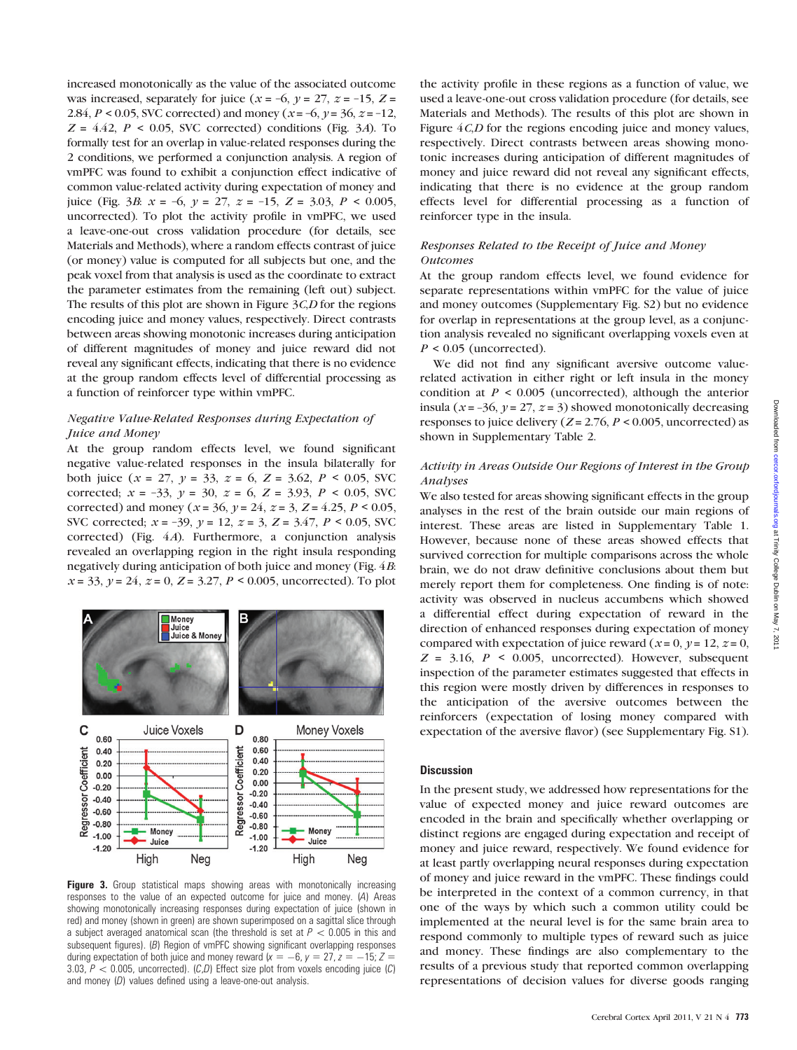increased monotonically as the value of the associated outcome was increased, separately for juice ( $x = -6$ ,  $y = 27$ ,  $z = -15$ ,  $Z =$ 2.84,  $P < 0.05$ , SVC corrected) and money ( $x = -6$ ,  $y = 36$ ,  $z = -12$ ,  $Z = 4.42$ ,  $P < 0.05$ , SVC corrected) conditions (Fig. 3A). To formally test for an overlap in value-related responses during the 2 conditions, we performed a conjunction analysis. A region of vmPFC was found to exhibit a conjunction effect indicative of common value-related activity during expectation of money and juice (Fig. 3*B*:  $x = -6$ ,  $y = 27$ ,  $z = -15$ ,  $Z = 3.03$ ,  $P < 0.005$ , uncorrected). To plot the activity profile in vmPFC, we used a leave-one-out cross validation procedure (for details, see Materials and Methods), where a random effects contrast of juice (or money) value is computed for all subjects but one, and the peak voxel from that analysis is used as the coordinate to extract the parameter estimates from the remaining (left out) subject. The results of this plot are shown in Figure  $3C<sub>1</sub>D$  for the regions encoding juice and money values, respectively. Direct contrasts between areas showing monotonic increases during anticipation of different magnitudes of money and juice reward did not reveal any significant effects, indicating that there is no evidence at the group random effects level of differential processing as a function of reinforcer type within vmPFC.

## Negative Value-Related Responses during Expectation of Juice and Money

At the group random effects level, we found significant negative value-related responses in the insula bilaterally for both juice  $(x = 27, y = 33, z = 6, Z = 3.62, P < 0.05, SVC$ corrected;  $x = -33$ ,  $y = 30$ ,  $z = 6$ ,  $Z = 3.93$ ,  $P < 0.05$ , SVC corrected) and money ( $x = 36$ ,  $y = 24$ ,  $z = 3$ ,  $Z = 4.25$ ,  $P < 0.05$ , SVC corrected;  $x = -39$ ,  $y = 12$ ,  $z = 3$ ,  $Z = 3.47$ ,  $P < 0.05$ , SVC corrected) (Fig. 4A). Furthermore, a conjunction analysis revealed an overlapping region in the right insula responding negatively during anticipation of both juice and money (Fig. 4B:  $x = 33$ ,  $y = 24$ ,  $z = 0$ ,  $Z = 3.27$ ,  $P < 0.005$ , uncorrected). To plot



Figure 3. Group statistical maps showing areas with monotonically increasing responses to the value of an expected outcome for juice and money. (A) Areas showing monotonically increasing responses during expectation of juice (shown in red) and money (shown in green) are shown superimposed on a sagittal slice through a subject averaged anatomical scan (the threshold is set at  $P < 0.005$  in this and subsequent figures). (B) Region of vmPFC showing significant overlapping responses during expectation of both juice and money reward  $(x = -6, y = 27, z = -15; Z =$ 3.03,  $P < 0.005$ , uncorrected). (C,D) Effect size plot from voxels encoding juice (C) and money (D) values defined using a leave-one-out analysis.

the activity profile in these regions as a function of value, we used a leave-one-out cross validation procedure (for details, see Materials and Methods). The results of this plot are shown in Figure  $4C<sub>1</sub>D$  for the regions encoding juice and money values, respectively. Direct contrasts between areas showing monotonic increases during anticipation of different magnitudes of money and juice reward did not reveal any significant effects, indicating that there is no evidence at the group random effects level for differential processing as a function of reinforcer type in the insula.

## Responses Related to the Receipt of Juice and Money Outcomes

At the group random effects level, we found evidence for separate representations within vmPFC for the value of juice and money outcomes [\(Supplementary Fig. S2\)](Supplementary ) but no evidence for overlap in representations at the group level, as a conjunction analysis revealed no significant overlapping voxels even at  $P \le 0.05$  (uncorrected).

We did not find any significant aversive outcome valuerelated activation in either right or left insula in the money condition at  $P < 0.005$  (uncorrected), although the anterior insula ( $x = -36$ ,  $y = 27$ ,  $z = 3$ ) showed monotonically decreasing responses to juice delivery ( $Z = 2.76$ ,  $P < 0.005$ , uncorrected) as shown in [Supplementary Table 2](Supplementary Table 1).

## Activity in Areas Outside Our Regions of Interest in the Group Analyses

We also tested for areas showing significant effects in the group analyses in the rest of the brain outside our main regions of interest. These areas are listed in<Supplementary Table 1>. However, because none of these areas showed effects that survived correction for multiple comparisons across the whole brain, we do not draw definitive conclusions about them but merely report them for completeness. One finding is of note: activity was observed in nucleus accumbens which showed a differential effect during expectation of reward in the direction of enhanced responses during expectation of money compared with expectation of juice reward ( $x = 0$ ,  $y = 12$ ,  $z = 0$ ,  $Z = 3.16$ ,  $P \le 0.005$ , uncorrected). However, subsequent inspection of the parameter estimates suggested that effects in this region were mostly driven by differences in responses to the anticipation of the aversive outcomes between the reinforcers (expectation of losing money compared with expectation of the aversive flavor) (see [Supplementary Fig. S1\)](Supplementary ).

## **Discussion**

In the present study, we addressed how representations for the value of expected money and juice reward outcomes are encoded in the brain and specifically whether overlapping or distinct regions are engaged during expectation and receipt of money and juice reward, respectively. We found evidence for at least partly overlapping neural responses during expectation of money and juice reward in the vmPFC. These findings could be interpreted in the context of a common currency, in that one of the ways by which such a common utility could be implemented at the neural level is for the same brain area to respond commonly to multiple types of reward such as juice and money. These findings are also complementary to the results of a previous study that reported common overlapping representations of decision values for diverse goods ranging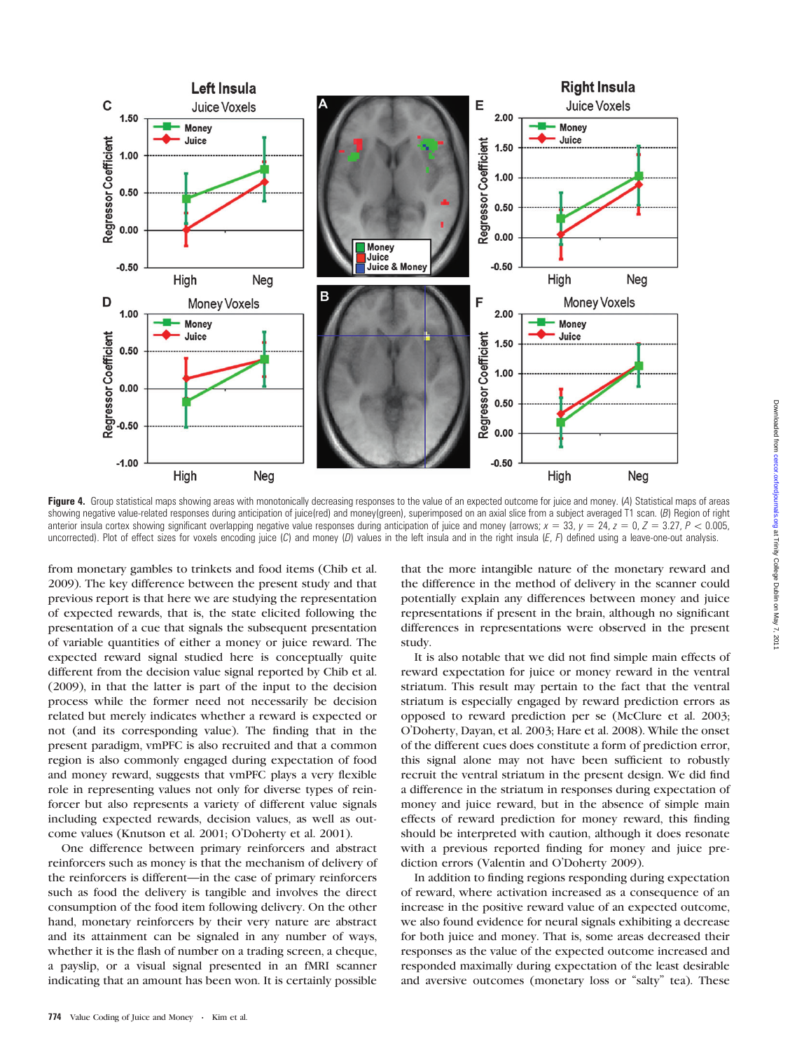

Figure 4. Group statistical maps showing areas with monotonically decreasing responses to the value of an expected outcome for juice and money. (A) Statistical maps of areas showing negative value-related responses during anticipation of juice(red) and money(green), superimposed on an axial slice from a subject averaged T1 scan. (B) Region of right anterior insula cortex showing significant overlapping negative value responses during anticipation of juice and money (arrows;  $x = 33$ ,  $y = 24$ ,  $z = 0$ ,  $Z = 3.27$ ,  $P < 0.005$ , uncorrected). Plot of effect sizes for voxels encoding juice  $(C)$  and money  $(D)$  values in the left insula and in the right insula  $(E, F)$  defined using a leave-one-out analysis.

from monetary gambles to trinkets and food items (Chib et al. 2009). The key difference between the present study and that previous report is that here we are studying the representation of expected rewards, that is, the state elicited following the presentation of a cue that signals the subsequent presentation of variable quantities of either a money or juice reward. The expected reward signal studied here is conceptually quite different from the decision value signal reported by Chib et al. (2009), in that the latter is part of the input to the decision process while the former need not necessarily be decision related but merely indicates whether a reward is expected or not (and its corresponding value). The finding that in the present paradigm, vmPFC is also recruited and that a common region is also commonly engaged during expectation of food and money reward, suggests that vmPFC plays a very flexible role in representing values not only for diverse types of reinforcer but also represents a variety of different value signals including expected rewards, decision values, as well as outcome values (Knutson et al. 2001; O'Doherty et al. 2001).

One difference between primary reinforcers and abstract reinforcers such as money is that the mechanism of delivery of the reinforcers is different—in the case of primary reinforcers such as food the delivery is tangible and involves the direct consumption of the food item following delivery. On the other hand, monetary reinforcers by their very nature are abstract and its attainment can be signaled in any number of ways, whether it is the flash of number on a trading screen, a cheque, a payslip, or a visual signal presented in an fMRI scanner indicating that an amount has been won. It is certainly possible

that the more intangible nature of the monetary reward and the difference in the method of delivery in the scanner could potentially explain any differences between money and juice representations if present in the brain, although no significant differences in representations were observed in the present study.

It is also notable that we did not find simple main effects of reward expectation for juice or money reward in the ventral striatum. This result may pertain to the fact that the ventral striatum is especially engaged by reward prediction errors as opposed to reward prediction per se (McClure et al. 2003; O'Doherty, Dayan, et al. 2003; Hare et al. 2008). While the onset of the different cues does constitute a form of prediction error, this signal alone may not have been sufficient to robustly recruit the ventral striatum in the present design. We did find a difference in the striatum in responses during expectation of money and juice reward, but in the absence of simple main effects of reward prediction for money reward, this finding should be interpreted with caution, although it does resonate with a previous reported finding for money and juice prediction errors (Valentin and O'Doherty 2009).

In addition to finding regions responding during expectation of reward, where activation increased as a consequence of an increase in the positive reward value of an expected outcome, we also found evidence for neural signals exhibiting a decrease for both juice and money. That is, some areas decreased their responses as the value of the expected outcome increased and responded maximally during expectation of the least desirable and aversive outcomes (monetary loss or "salty" tea). These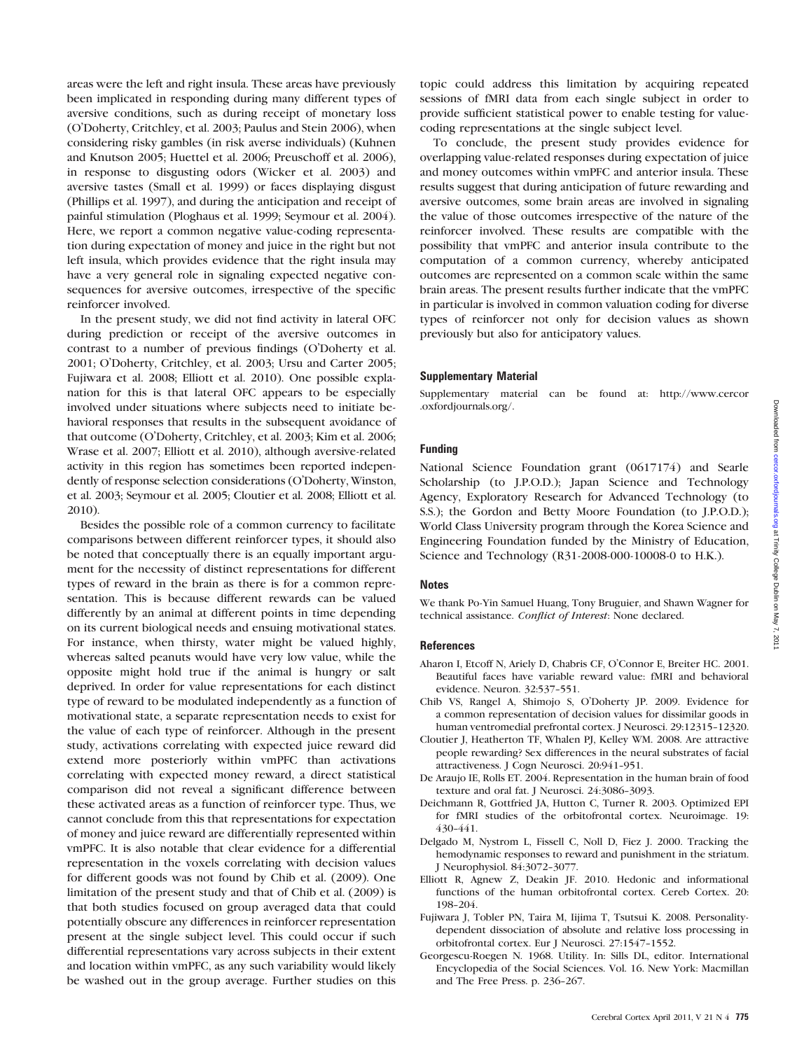areas were the left and right insula. These areas have previously been implicated in responding during many different types of aversive conditions, such as during receipt of monetary loss (O'Doherty, Critchley, et al. 2003; Paulus and Stein 2006), when considering risky gambles (in risk averse individuals) (Kuhnen and Knutson 2005; Huettel et al. 2006; Preuschoff et al. 2006), in response to disgusting odors (Wicker et al. 2003) and aversive tastes (Small et al. 1999) or faces displaying disgust (Phillips et al. 1997), and during the anticipation and receipt of painful stimulation (Ploghaus et al. 1999; Seymour et al. 2004). Here, we report a common negative value-coding representation during expectation of money and juice in the right but not left insula, which provides evidence that the right insula may have a very general role in signaling expected negative consequences for aversive outcomes, irrespective of the specific reinforcer involved.

In the present study, we did not find activity in lateral OFC during prediction or receipt of the aversive outcomes in contrast to a number of previous findings (O'Doherty et al. 2001; O'Doherty, Critchley, et al. 2003; Ursu and Carter 2005; Fujiwara et al. 2008; Elliott et al. 2010). One possible explanation for this is that lateral OFC appears to be especially involved under situations where subjects need to initiate behavioral responses that results in the subsequent avoidance of that outcome (O'Doherty, Critchley, et al. 2003; Kim et al. 2006; Wrase et al. 2007; Elliott et al. 2010), although aversive-related activity in this region has sometimes been reported independently of response selection considerations (O'Doherty, Winston, et al. 2003; Seymour et al. 2005; Cloutier et al. 2008; Elliott et al. 2010).

Besides the possible role of a common currency to facilitate comparisons between different reinforcer types, it should also be noted that conceptually there is an equally important argument for the necessity of distinct representations for different types of reward in the brain as there is for a common representation. This is because different rewards can be valued differently by an animal at different points in time depending on its current biological needs and ensuing motivational states. For instance, when thirsty, water might be valued highly, whereas salted peanuts would have very low value, while the opposite might hold true if the animal is hungry or salt deprived. In order for value representations for each distinct type of reward to be modulated independently as a function of motivational state, a separate representation needs to exist for the value of each type of reinforcer. Although in the present study, activations correlating with expected juice reward did extend more posteriorly within vmPFC than activations correlating with expected money reward, a direct statistical comparison did not reveal a significant difference between these activated areas as a function of reinforcer type. Thus, we cannot conclude from this that representations for expectation of money and juice reward are differentially represented within vmPFC. It is also notable that clear evidence for a differential representation in the voxels correlating with decision values for different goods was not found by Chib et al. (2009). One limitation of the present study and that of Chib et al. (2009) is that both studies focused on group averaged data that could potentially obscure any differences in reinforcer representation present at the single subject level. This could occur if such differential representations vary across subjects in their extent and location within vmPFC, as any such variability would likely be washed out in the group average. Further studies on this

topic could address this limitation by acquiring repeated sessions of fMRI data from each single subject in order to provide sufficient statistical power to enable testing for valuecoding representations at the single subject level.

To conclude, the present study provides evidence for overlapping value-related responses during expectation of juice and money outcomes within vmPFC and anterior insula. These results suggest that during anticipation of future rewarding and aversive outcomes, some brain areas are involved in signaling the value of those outcomes irrespective of the nature of the reinforcer involved. These results are compatible with the possibility that vmPFC and anterior insula contribute to the computation of a common currency, whereby anticipated outcomes are represented on a common scale within the same brain areas. The present results further indicate that the vmPFC in particular is involved in common valuation coding for diverse types of reinforcer not only for decision values as shown previously but also for anticipatory values.

#### Supplementary Material

<Supplementary material> can be found at: [http://www.cercor](http://www.cercor.oxfordjournals.org/) [.oxfordjournals.org/.](http://www.cercor.oxfordjournals.org/)

#### Funding

National Science Foundation grant (0617174) and Searle Scholarship (to J.P.O.D.); Japan Science and Technology Agency, Exploratory Research for Advanced Technology (to S.S.); the Gordon and Betty Moore Foundation (to J.P.O.D.); World Class University program through the Korea Science and Engineering Foundation funded by the Ministry of Education, Science and Technology (R31-2008-000-10008-0 to H.K.).

### **Notes**

We thank Po-Yin Samuel Huang, Tony Bruguier, and Shawn Wagner for technical assistance. Conflict of Interest: None declared.

#### **References**

- Aharon I, Etcoff N, Ariely D, Chabris CF, O'Connor E, Breiter HC. 2001. Beautiful faces have variable reward value: fMRI and behavioral evidence. Neuron. 32:537-551.
- Chib VS, Rangel A, Shimojo S, O'Doherty JP. 2009. Evidence for a common representation of decision values for dissimilar goods in human ventromedial prefrontal cortex. J Neurosci. 29:12315--12320.
- Cloutier J, Heatherton TF, Whalen PJ, Kelley WM. 2008. Are attractive people rewarding? Sex differences in the neural substrates of facial attractiveness. J Cogn Neurosci. 20:941-951.
- De Araujo IE, Rolls ET. 2004. Representation in the human brain of food texture and oral fat. J Neurosci. 24:3086-3093.
- Deichmann R, Gottfried JA, Hutton C, Turner R. 2003. Optimized EPI for fMRI studies of the orbitofrontal cortex. Neuroimage. 19: 430-441.
- Delgado M, Nystrom L, Fissell C, Noll D, Fiez J. 2000. Tracking the hemodynamic responses to reward and punishment in the striatum. J Neurophysiol. 84:3072-3077.
- Elliott R, Agnew Z, Deakin JF. 2010. Hedonic and informational functions of the human orbitofrontal cortex. Cereb Cortex. 20: 198-204.
- Fujiwara J, Tobler PN, Taira M, Iijima T, Tsutsui K. 2008. Personalitydependent dissociation of absolute and relative loss processing in orbitofrontal cortex. Eur J Neurosci. 27:1547--1552.
- Georgescu-Roegen N. 1968. Utility. In: Sills DL, editor. International Encyclopedia of the Social Sciences. Vol. 16. New York: Macmillan and The Free Press. p. 236-267.